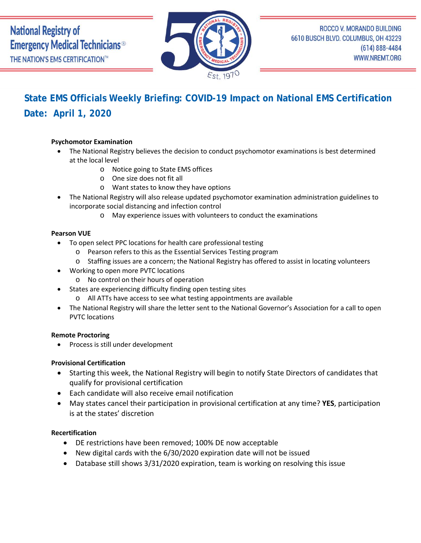

# **State EMS Officials Weekly Briefing: COVID-19 Impact on National EMS Certification Date: April 1, 2020**

# **Psychomotor Examination**

- The National Registry believes the decision to conduct psychomotor examinations is best determined at the local level
	- o Notice going to State EMS offices
	- o One size does not fit all
	- o Want states to know they have options
- The National Registry will also release updated psychomotor examination administration guidelines to incorporate social distancing and infection control
	- o May experience issues with volunteers to conduct the examinations

#### **Pearson VUE**

- To open select PPC locations for health care professional testing
	- o Pearson refers to this as the Essential Services Testing program
	- o Staffing issues are a concern; the National Registry has offered to assist in locating volunteers
- Working to open more PVTC locations
	- o No control on their hours of operation
- States are experiencing difficulty finding open testing sites
	- o All ATTs have access to see what testing appointments are available
- The National Registry will share the letter sent to the National Governor's Association for a call to open PVTC locations

#### **Remote Proctoring**

• Process is still under development

#### **Provisional Certification**

- Starting this week, the National Registry will begin to notify State Directors of candidates that qualify for provisional certification
- Each candidate will also receive email notification
- May states cancel their participation in provisional certification at any time? **YES**, participation is at the states' discretion

#### **Recertification**

- DE restrictions have been removed; 100% DE now acceptable
- New digital cards with the 6/30/2020 expiration date will not be issued
- Database still shows 3/31/2020 expiration, team is working on resolving this issue